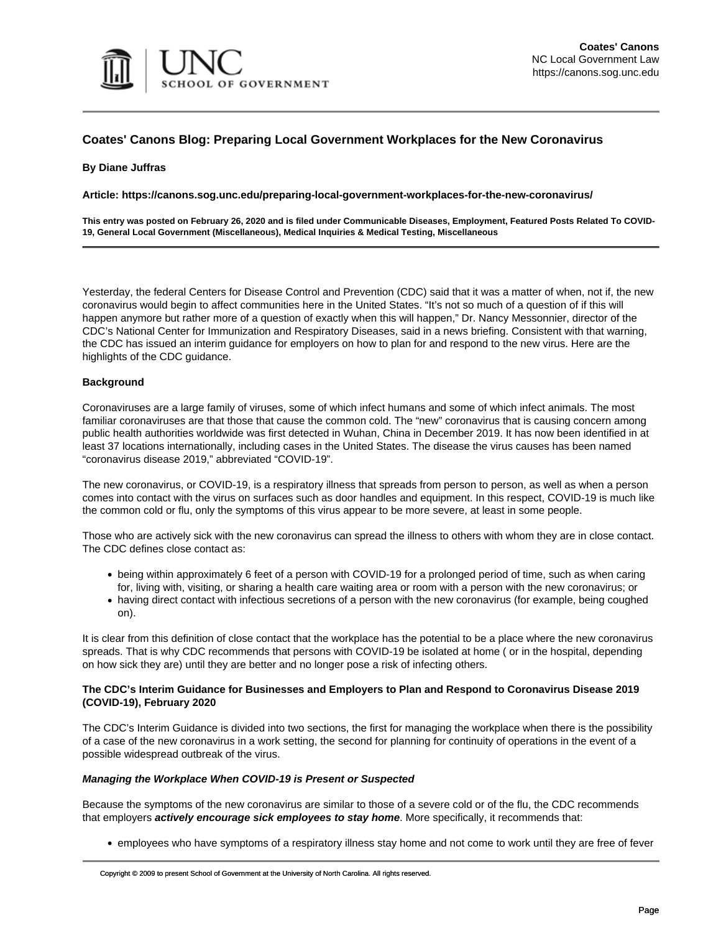

## **Coates' Canons Blog: Preparing Local Government Workplaces for the New Coronavirus**

## **By Diane Juffras**

**Article: https://canons.sog.unc.edu/preparing-local-government-workplaces-for-the-new-coronavirus/**

**This entry was posted on February 26, 2020 and is filed under Communicable Diseases, Employment, Featured Posts Related To COVID-19, General Local Government (Miscellaneous), Medical Inquiries & Medical Testing, Miscellaneous**

Yesterday, the federal Centers for Disease Control and Prevention (CDC) said that it was a matter of when, not if, the new coronavirus would begin to affect communities here in the United States. "It's not so much of a question of if this will happen anymore but rather more of a question of exactly when this will happen," Dr. Nancy Messonnier, director of the CDC's National Center for Immunization and Respiratory Diseases, said in a [news briefing.](https://www.nytimes.com/2020/02/25/health/coronavirus-us.html) Consistent with that warning, the CDC has issued an [interim guidance for employers](https://www.cdc.gov/coronavirus/2019-ncov/specific-groups/guidance-business-response.html?CDC_AA_refVal=https://www.cdc.gov/coronavirus/2019-ncov/guidance-business-response.html) on how to plan for and respond to the new virus. Here are the highlights of the CDC guidance.

## **Background**

Coronaviruses are a large family of viruses, some of which infect humans and some of which infect animals. The most familiar coronaviruses are that those that cause the common cold. The "new" coronavirus that is causing concern among public health authorities worldwide was first detected in Wuhan, China in December 2019. It has now been identified in at least 37 locations internationally, including cases in the United States. The disease the virus causes has been named "coronavirus disease 2019," abbreviated "COVID-19".

The new coronavirus, or COVID-19, is a respiratory illness that spreads from person to person, as well as when a person comes into contact with the virus on surfaces such as door handles and equipment. In this respect, COVID-19 is much like the common cold or flu, only the symptoms of this virus appear to be more severe, at least in some people.

Those who are actively sick with the new coronavirus can spread the illness to others with whom they are in close contact. The CDC defines close contact as:

- being within approximately 6 feet of a person with COVID-19 for a prolonged period of time, such as when caring for, living with, visiting, or sharing a health care waiting area or room with a person with the new coronavirus; or
- having direct contact with infectious secretions of a person with the new coronavirus (for example, being coughed on).

It is clear from this definition of close contact that the workplace has the potential to be a place where the new coronavirus spreads. That is why CDC recommends that persons with COVID-19 be isolated at home ( or in the hospital, depending on how sick they are) until they are better and no longer pose a risk of infecting others.

### **The CDC's Interim Guidance for Businesses and Employers to Plan and Respond to Coronavirus Disease 2019 (COVID-19), February 2020**

The CDC's [Interim Guidance](https://www.cdc.gov/coronavirus/2019-ncov/specific-groups/guidance-business-response.html?CDC_AA_refVal=https://www.cdc.gov/coronavirus/2019-ncov/guidance-business-response.html) is divided into two sections, the first for managing the workplace when there is the possibility of a case of the new coronavirus in a work setting, the second for planning for continuity of operations in the event of a possible widespread outbreak of the virus.

#### **Managing the Workplace When COVID-19 is Present or Suspected**

Because the symptoms of the new coronavirus are similar to those of a severe cold or of the flu, the CDC recommends that employers **actively encourage sick employees to stay home**. More specifically, it recommends that:

• employees who have symptoms of a respiratory illness stay home and not come to work until they are free of fever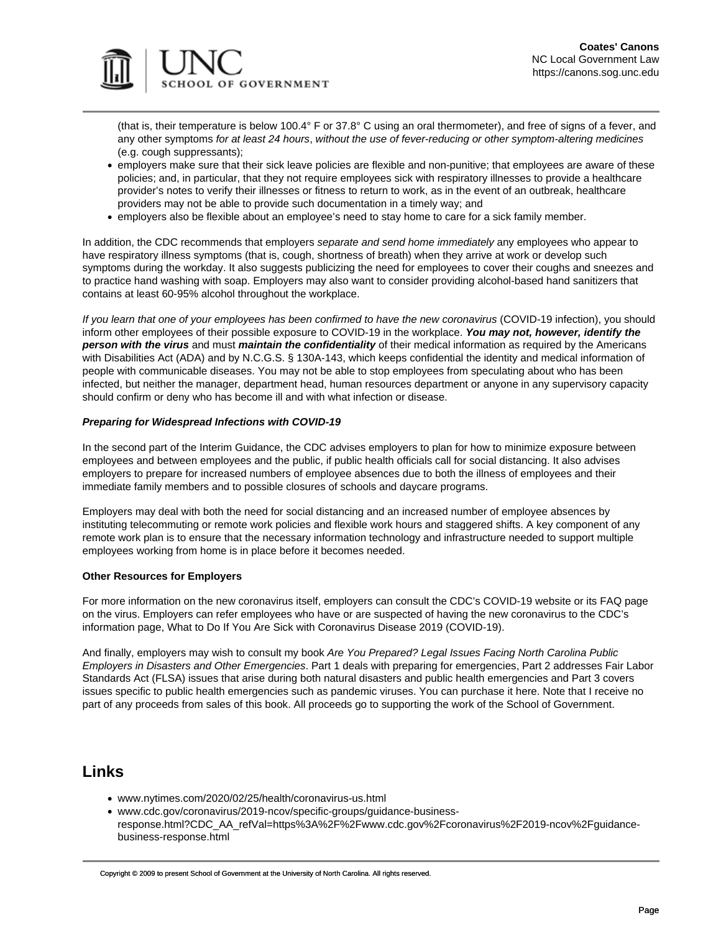



(that is, their temperature is below 100.4° F or 37.8° C using an oral thermometer), and free of signs of a fever, and any other symptoms for at least 24 hours, without the use of fever-reducing or other symptom-altering medicines (e.g. cough suppressants);

- employers make sure that their sick leave policies are flexible and non-punitive; that employees are aware of these policies; and, in particular, that they not require employees sick with respiratory illnesses to provide a healthcare provider's notes to verify their illnesses or fitness to return to work, as in the event of an outbreak, healthcare providers may not be able to provide such documentation in a timely way; and
- employers also be flexible about an employee's need to stay home to care for a sick family member.

In addition, the CDC recommends that employers separate and send home immediately any employees who appear to have respiratory illness symptoms (that is, cough, shortness of breath) when they arrive at work or develop such symptoms during the workday. It also suggests publicizing the need for employees to cover their coughs and sneezes and to practice hand washing with soap. Employers may also want to consider providing alcohol-based hand sanitizers that contains at least 60-95% alcohol throughout the workplace.

If you learn that one of your employees has been confirmed to have the new coronavirus (COVID-19 infection), you should inform other employees of their possible exposure to COVID-19 in the workplace. **You may not, however, identify the person with the virus** and must **maintain the confidentiality** of their medical information as required by the Americans with Disabilities Act (ADA) and by [N.C.G.S. § 130A-143](https://www.ncleg.net/EnactedLegislation/Statutes/HTML/BySection/Chapter_130A/GS_130A-143.html), which keeps confidential the identity and medical information of people with communicable diseases. You may not be able to stop employees from speculating about who has been infected, but neither the manager, department head, human resources department or anyone in any supervisory capacity should confirm or deny who has become ill and with what infection or disease.

## **Preparing for Widespread Infections with COVID-19**

In the second part of the Interim Guidance, the CDC advises employers to plan for how to minimize exposure between employees and between employees and the public, if public health officials call for social distancing. It also advises employers to prepare for increased numbers of employee absences due to both the illness of employees and their immediate family members and to possible closures of schools and daycare programs.

Employers may deal with both the need for social distancing and an increased number of employee absences by instituting telecommuting or remote work policies and flexible work hours and staggered shifts. A key component of any remote work plan is to ensure that the necessary information technology and infrastructure needed to support multiple employees working from home is in place before it becomes needed.

## **Other Resources for Employers**

For more information on the new coronavirus itself, employers can consult the CDC's [COVID-19 website](https://www.cdc.gov/coronavirus/2019-ncov/about/index.html?CDC_AA_refVal=https://www.cdc.gov/coronavirus/about/index.html) or its [FAQ page](https://www.cdc.gov/coronavirus/2019-ncov/faq.html#disease-basics) on the virus. Employers can refer employees who have or are suspected of having the new coronavirus to the CDC's information page, [What to Do If You Are Sick with Coronavirus Disease 2019 \(COVID-19\)](https://www.cdc.gov/coronavirus/2019-ncov/downloads/sick-with-2019-nCoV-fact-sheet.pdf).

And finally, employers may wish to consult my book Are You Prepared? Legal Issues Facing North Carolina Public Employers in Disasters and Other Emergencies. Part 1 deals with preparing for emergencies, Part 2 addresses Fair Labor Standards Act (FLSA) issues that arise during both natural disasters and public health emergencies and Part 3 covers issues specific to public health emergencies such as pandemic viruses. You can purchase it [here](https://www.sog.unc.edu/publications/books/are-you-prepared-legal-issues-facing-north-carolina-public-employers-disasters-and-other-emergencies). Note that I receive no part of any proceeds from sales of this book. All proceeds go to supporting the work of the School of Government.

# **Links**

- [www.nytimes.com/2020/02/25/health/coronavirus-us.html](https://www.nytimes.com/2020/02/25/health/coronavirus-us.html)
- [www.cdc.gov/coronavirus/2019-ncov/specific-groups/guidance-business](https://www.cdc.gov/coronavirus/2019-ncov/specific-groups/guidance-business-response.html?CDC_AA_refVal=https://www.cdc.gov/coronavirus/2019-ncov/guidance-business-response.html)[response.html?CDC\\_AA\\_refVal=https%3A%2F%2Fwww.cdc.gov%2Fcoronavirus%2F2019-ncov%2Fguidance](https://www.cdc.gov/coronavirus/2019-ncov/specific-groups/guidance-business-response.html?CDC_AA_refVal=https://www.cdc.gov/coronavirus/2019-ncov/guidance-business-response.html)[business-response.html](https://www.cdc.gov/coronavirus/2019-ncov/specific-groups/guidance-business-response.html?CDC_AA_refVal=https://www.cdc.gov/coronavirus/2019-ncov/guidance-business-response.html)